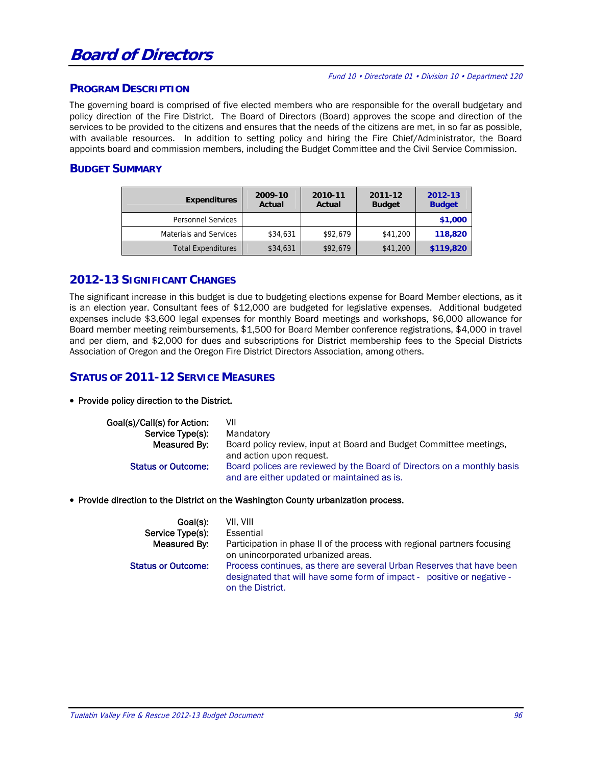# **Board of Directors**

#### Fund 10 • Directorate 01 • Division 10 • Department 120

#### **PROGRAM DESCRIPTION**

The governing board is comprised of five elected members who are responsible for the overall budgetary and policy direction of the Fire District. The Board of Directors (Board) approves the scope and direction of the services to be provided to the citizens and ensures that the needs of the citizens are met, in so far as possible, with available resources. In addition to setting policy and hiring the Fire Chief/Administrator, the Board appoints board and commission members, including the Budget Committee and the Civil Service Commission.

### **BUDGET SUMMARY**

| <b>Expenditures</b>           | 2009-10<br>Actual | 2010-11<br>Actual | 2011-12<br><b>Budget</b> | 2012-13<br><b>Budget</b> |  |
|-------------------------------|-------------------|-------------------|--------------------------|--------------------------|--|
| <b>Personnel Services</b>     |                   |                   |                          | \$1,000                  |  |
| <b>Materials and Services</b> | \$34,631          | \$92,679          | \$41,200                 | 118,820                  |  |
| <b>Total Expenditures</b>     | \$34,631          | \$92,679          | \$41,200                 | \$119,820                |  |

# **2012-13 SIGNIFICANT CHANGES**

The significant increase in this budget is due to budgeting elections expense for Board Member elections, as it is an election year. Consultant fees of \$12,000 are budgeted for legislative expenses. Additional budgeted expenses include \$3,600 legal expenses for monthly Board meetings and workshops, \$6,000 allowance for Board member meeting reimbursements, \$1,500 for Board Member conference registrations, \$4,000 in travel and per diem, and \$2,000 for dues and subscriptions for District membership fees to the Special Districts Association of Oregon and the Oregon Fire District Directors Association, among others.

# **STATUS OF 2011-12 SERVICE MEASURES**

#### • Provide policy direction to the District.

| Goal(s)/Call(s) for Action:<br>Service Type(s): | VII<br>Mandatory                                                                                                       |
|-------------------------------------------------|------------------------------------------------------------------------------------------------------------------------|
| Measured By:                                    | Board policy review, input at Board and Budget Committee meetings,                                                     |
|                                                 | and action upon request.                                                                                               |
| <b>Status or Outcome:</b>                       | Board polices are reviewed by the Board of Directors on a monthly basis<br>and are either updated or maintained as is. |

#### • Provide direction to the District on the Washington County urbanization process.

| Goal(s):                  | VII. VIII                                                                                                                                                           |
|---------------------------|---------------------------------------------------------------------------------------------------------------------------------------------------------------------|
| Service Type(s):          | Essential                                                                                                                                                           |
| Measured By:              | Participation in phase II of the process with regional partners focusing<br>on unincorporated urbanized areas.                                                      |
| <b>Status or Outcome:</b> | Process continues, as there are several Urban Reserves that have been<br>designated that will have some form of impact - positive or negative -<br>on the District. |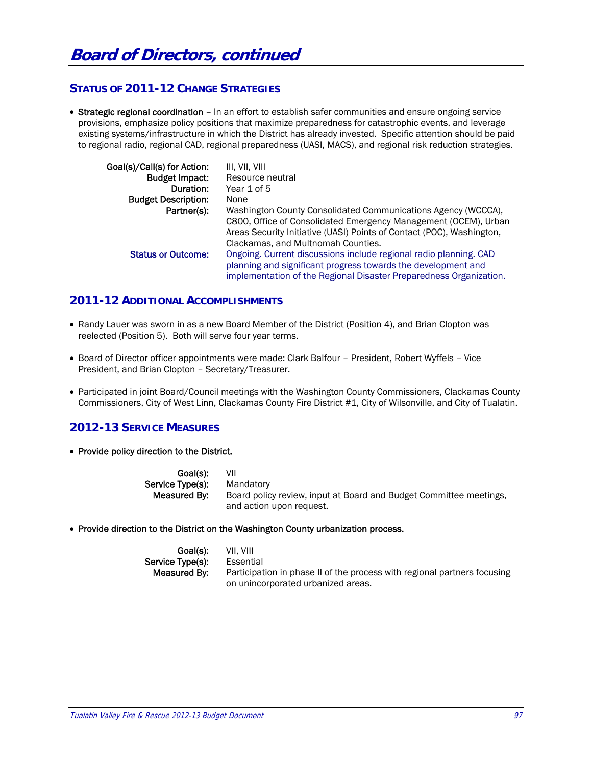# **STATUS OF 2011-12 CHANGE STRATEGIES**

• Strategic regional coordination - In an effort to establish safer communities and ensure ongoing service provisions, emphasize policy positions that maximize preparedness for catastrophic events, and leverage existing systems/infrastructure in which the District has already invested. Specific attention should be paid to regional radio, regional CAD, regional preparedness (UASI, MACS), and regional risk reduction strategies.

| Goal(s)/Call(s) for Action: | III. VII. VIII                                                        |
|-----------------------------|-----------------------------------------------------------------------|
| <b>Budget Impact:</b>       | Resource neutral                                                      |
| Duration:                   | Year 1 of 5                                                           |
| <b>Budget Description:</b>  | None                                                                  |
| Partner(s):                 | Washington County Consolidated Communications Agency (WCCCA),         |
|                             | C800, Office of Consolidated Emergency Management (OCEM), Urban       |
|                             | Areas Security Initiative (UASI) Points of Contact (POC), Washington, |
|                             | Clackamas, and Multnomah Counties.                                    |
| <b>Status or Outcome:</b>   | Ongoing. Current discussions include regional radio planning. CAD     |
|                             | planning and significant progress towards the development and         |
|                             | implementation of the Regional Disaster Preparedness Organization.    |

# **2011-12 ADDITIONAL ACCOMPLISHMENTS**

- Randy Lauer was sworn in as a new Board Member of the District (Position 4), and Brian Clopton was reelected (Position 5). Both will serve four year terms.
- Board of Director officer appointments were made: Clark Balfour President, Robert Wyffels Vice President, and Brian Clopton – Secretary/Treasurer.
- Participated in joint Board/Council meetings with the Washington County Commissioners, Clackamas County Commissioners, City of West Linn, Clackamas County Fire District #1, City of Wilsonville, and City of Tualatin.

# **2012-13 SERVICE MEASURES**

• Provide policy direction to the District.

| Goal(s):         | VII                                                                |
|------------------|--------------------------------------------------------------------|
| Service Type(s): | Mandatory                                                          |
| Measured By:     | Board policy review, input at Board and Budget Committee meetings, |
|                  | and action upon request.                                           |

• Provide direction to the District on the Washington County urbanization process.

| Goal(s):                 | VII. VIII                                                                |
|--------------------------|--------------------------------------------------------------------------|
| Service Tvpe(s) <b>:</b> | Essential                                                                |
| Measured By:             | Participation in phase II of the process with regional partners focusing |
|                          | on unincorporated urbanized areas.                                       |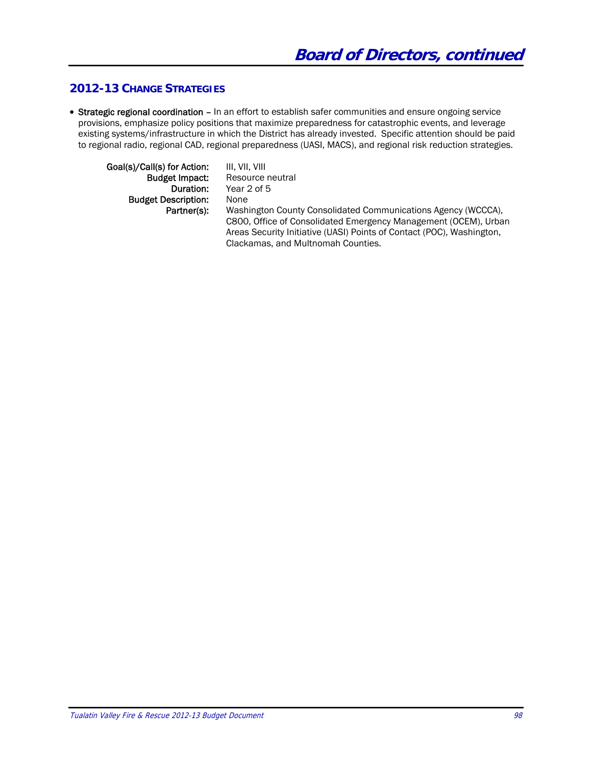# **2012-13 CHANGE STRATEGIES**

• Strategic regional coordination – In an effort to establish safer communities and ensure ongoing service provisions, emphasize policy positions that maximize preparedness for catastrophic events, and leverage existing systems/infrastructure in which the District has already invested. Specific attention should be paid to regional radio, regional CAD, regional preparedness (UASI, MACS), and regional risk reduction strategies.

| Goal(s)/Call(s) for Action: | III. VII. VIII                                                        |
|-----------------------------|-----------------------------------------------------------------------|
| <b>Budget Impact:</b>       | Resource neutral                                                      |
| Duration:                   | Year 2 of 5                                                           |
| <b>Budget Description:</b>  | None                                                                  |
| Partner(s):                 | Washington County Consolidated Communications Agency (WCCCA),         |
|                             | C800, Office of Consolidated Emergency Management (OCEM), Urban       |
|                             | Areas Security Initiative (UASI) Points of Contact (POC), Washington, |
|                             | Clackamas, and Multnomah Counties.                                    |